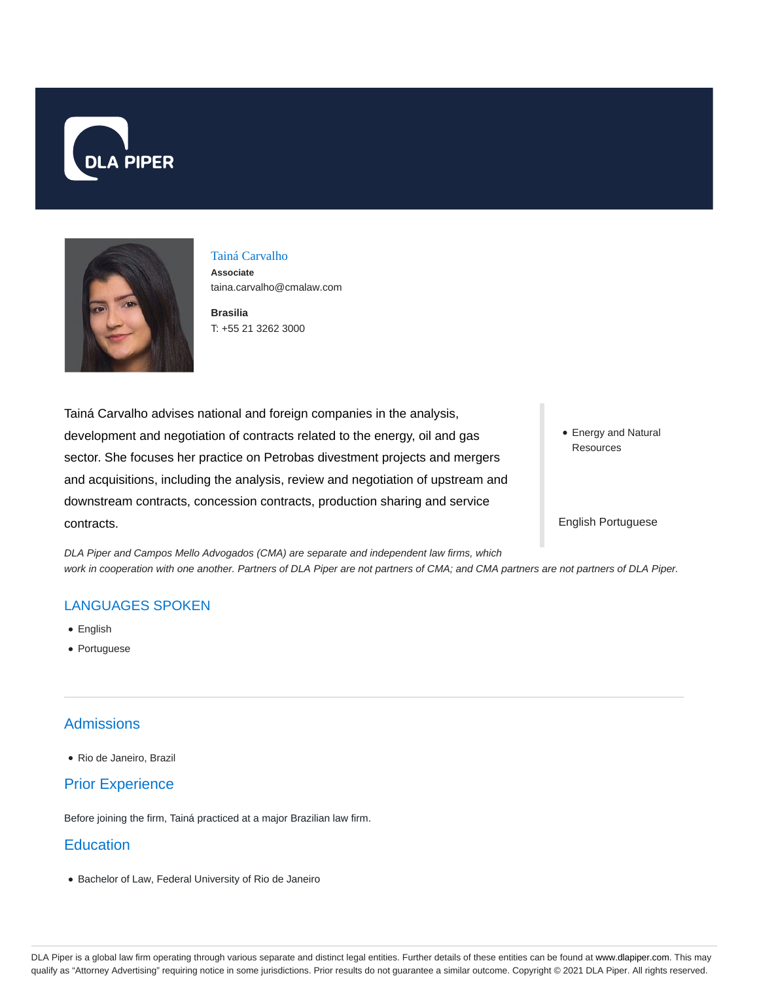



## Tainá Carvalho

**Associate** taina.carvalho@cmalaw.com

**Brasilia** T: +55 21 3262 3000

Tainá Carvalho advises national and foreign companies in the analysis, development and negotiation of contracts related to the energy, oil and gas sector. She focuses her practice on Petrobas divestment projects and mergers and acquisitions, including the analysis, review and negotiation of upstream and downstream contracts, concession contracts, production sharing and service contracts.

Energy and Natural Resources

#### English Portuguese

DLA Piper and Campos Mello Advogados (CMA) are separate and independent law firms, which work in cooperation with one another. Partners of DLA Piper are not partners of CMA; and CMA partners are not partners of DLA Piper.

### LANGUAGES SPOKEN

- English
- Portuguese

### **Admissions**

Rio de Janeiro, Brazil

## Prior Experience

Before joining the firm, Tainá practiced at a major Brazilian law firm.

## **Education**

Bachelor of Law, Federal University of Rio de Janeiro